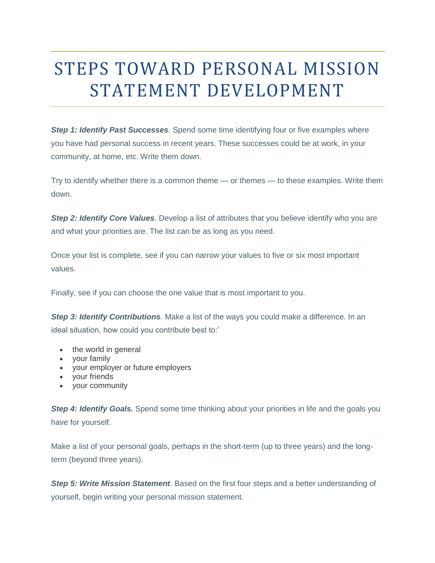# STEPS TOWARD PERSONAL MISSION STATEMENT DEVELOPMENT

**Step 1: Identify Past Successes**. Spend some time identifying four or five examples where you have had personal success in recent years. These successes could be at work, in your community, at home, etc. Write them down.

Try to identify whether there is a common theme — or themes — to these examples. Write them down.

*Step 2: Identify Core Values.* Develop a list of attributes that you believe identify who you are and what your priorities are. The list can be as long as you need.

Once your list is complete, see if you can narrow your values to five or six most important values.

Finally, see if you can choose the one value that is most important to you.

*Step 3: Identify Contributions.* Make a list of the ways you could make a difference. In an ideal situation, how could you contribute best to:'

- the world in general
- your family
- your employer or future employers
- your friends
- your community

**Step 4: Identify Goals.** Spend some time thinking about your priorities in life and the goals you have for yourself.

Make a list of your personal goals, perhaps in the short-term (up to three years) and the longterm (beyond three years).

*Step 5: Write Mission Statement.* Based on the first four steps and a better understanding of yourself, begin writing your personal mission statement.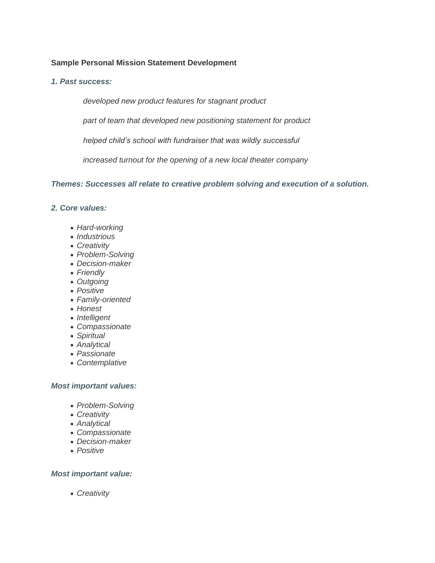# **Sample Personal Mission Statement Development**

*1. Past success:*

*developed new product features for stagnant product*

*part of team that developed new positioning statement for product*

*helped child's school with fundraiser that was wildly successful*

*increased turnout for the opening of a new local theater company*

*Themes: Successes all relate to creative problem solving and execution of a solution.*

- *2. Core values:*
	- *Hard-working*
	- *Industrious*
	- *Creativity*
	- *Problem-Solving*
	- *Decision-maker*
	- *Friendly*
	- *Outgoing*
	- *Positive*
	- *Family-oriented*
	- *Honest*
	- *Intelligent*
	- *Compassionate*
	- *Spiritual*
	- *Analytical*
	- *Passionate*
	- *Contemplative*

### *Most important values:*

- *Problem-Solving*
- *Creativity*
- *Analytical*
- *Compassionate*
- *Decision-maker*
- *Positive*

### *Most important value:*

*Creativity*